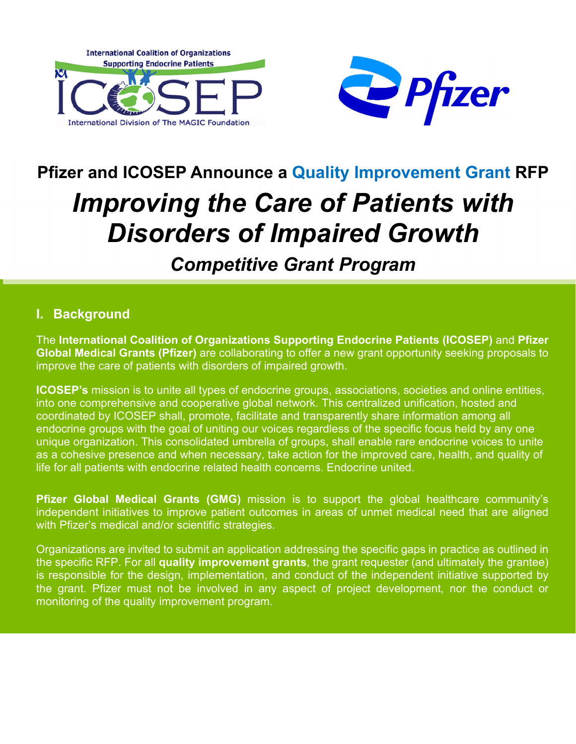



# **Pfizer and ICOSEP Announce a Quality Improvement Grant RFP**

# *Improving the Care of Patients with Disorders of Impaired Growth*

# *Competitive Grant Program*

#### **I. Background**

The **International Coalition of Organizations Supporting Endocrine Patients (ICOSEP)** and **Pfizer Global Medical Grants (Pfizer)** are collaborating to offer a new grant opportunity seeking proposals to improve the care of patients with disorders of impaired growth.

**ICOSEP's** mission is to unite all types of endocrine groups, associations, societies and online entities, into one comprehensive and cooperative global network. This centralized unification, hosted and coordinated by ICOSEP shall, promote, facilitate and transparently share information among all endocrine groups with the goal of uniting our voices regardless of the specific focus held by any one unique organization. This consolidated umbrella of groups, shall enable rare endocrine voices to unite as a cohesive presence and when necessary, take action for the improved care, health, and quality of life for all patients with endocrine related health concerns. Endocrine united.

**Pfizer Global Medical Grants (GMG)** mission is to support the global healthcare community's independent initiatives to improve patient outcomes in areas of unmet medical need that are aligned with Pfizer's medical and/or scientific strategies.

Organizations are invited to submit an application addressing the specific gaps in practice as outlined in the specific RFP. For all **quality improvement grants**, the grant requester (and ultimately the grantee) is responsible for the design, implementation, and conduct of the independent initiative supported by the grant. Pfizer must not be involved in any aspect of project development, nor the conduct or monitoring of the quality improvement program.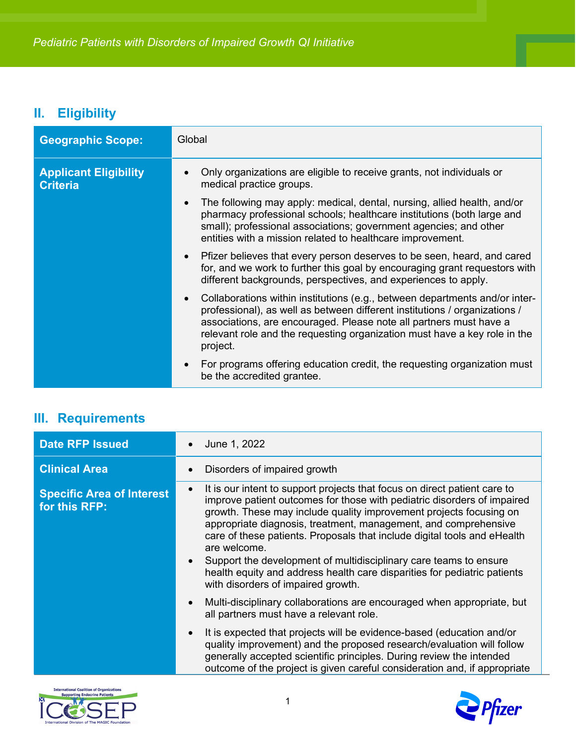## **II. Eligibility**

| <b>Geographic Scope:</b>                        | Global                                                                                                                                                                                                                                                                                                                   |
|-------------------------------------------------|--------------------------------------------------------------------------------------------------------------------------------------------------------------------------------------------------------------------------------------------------------------------------------------------------------------------------|
| <b>Applicant Eligibility</b><br><b>Criteria</b> | Only organizations are eligible to receive grants, not individuals or<br>medical practice groups.                                                                                                                                                                                                                        |
|                                                 | The following may apply: medical, dental, nursing, allied health, and/or<br>$\bullet$<br>pharmacy professional schools; healthcare institutions (both large and<br>small); professional associations; government agencies; and other<br>entities with a mission related to healthcare improvement.                       |
|                                                 | Pfizer believes that every person deserves to be seen, heard, and cared<br>for, and we work to further this goal by encouraging grant requestors with<br>different backgrounds, perspectives, and experiences to apply.                                                                                                  |
|                                                 | Collaborations within institutions (e.g., between departments and/or inter-<br>professional), as well as between different institutions / organizations /<br>associations, are encouraged. Please note all partners must have a<br>relevant role and the requesting organization must have a key role in the<br>project. |
|                                                 | For programs offering education credit, the requesting organization must<br>be the accredited grantee.                                                                                                                                                                                                                   |

## **III. Requirements**

| <b>Date RFP Issued</b>                            | June 1, 2022                                                                                                                                                                                                                                                                                                                                                                                                                                                                                                                                                                     |
|---------------------------------------------------|----------------------------------------------------------------------------------------------------------------------------------------------------------------------------------------------------------------------------------------------------------------------------------------------------------------------------------------------------------------------------------------------------------------------------------------------------------------------------------------------------------------------------------------------------------------------------------|
| <b>Clinical Area</b>                              | Disorders of impaired growth                                                                                                                                                                                                                                                                                                                                                                                                                                                                                                                                                     |
| <b>Specific Area of Interest</b><br>for this RFP: | It is our intent to support projects that focus on direct patient care to<br>improve patient outcomes for those with pediatric disorders of impaired<br>growth. These may include quality improvement projects focusing on<br>appropriate diagnosis, treatment, management, and comprehensive<br>care of these patients. Proposals that include digital tools and eHealth<br>are welcome.<br>Support the development of multidisciplinary care teams to ensure<br>health equity and address health care disparities for pediatric patients<br>with disorders of impaired growth. |
|                                                   | Multi-disciplinary collaborations are encouraged when appropriate, but<br>all partners must have a relevant role.                                                                                                                                                                                                                                                                                                                                                                                                                                                                |
|                                                   | It is expected that projects will be evidence-based (education and/or<br>quality improvement) and the proposed research/evaluation will follow<br>generally accepted scientific principles. During review the intended<br>outcome of the project is given careful consideration and, if appropriate                                                                                                                                                                                                                                                                              |



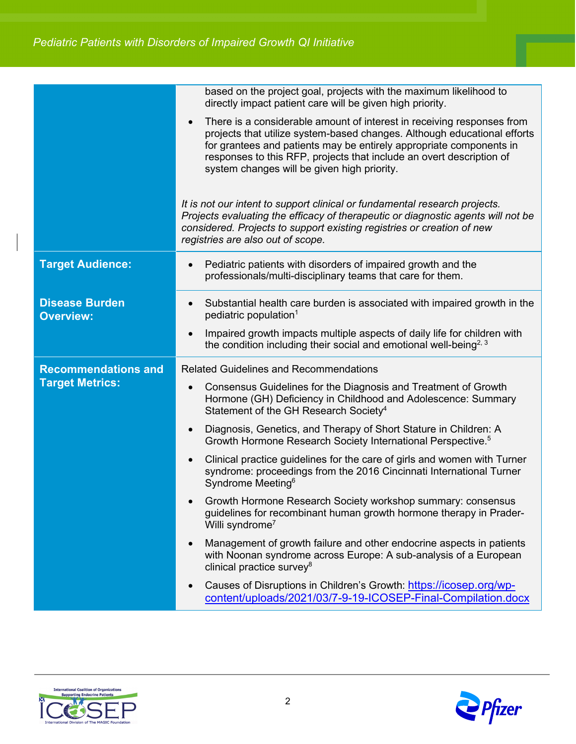|                                                      | based on the project goal, projects with the maximum likelihood to<br>directly impact patient care will be given high priority.                                                                                                                                                                                                                  |
|------------------------------------------------------|--------------------------------------------------------------------------------------------------------------------------------------------------------------------------------------------------------------------------------------------------------------------------------------------------------------------------------------------------|
|                                                      | There is a considerable amount of interest in receiving responses from<br>projects that utilize system-based changes. Although educational efforts<br>for grantees and patients may be entirely appropriate components in<br>responses to this RFP, projects that include an overt description of<br>system changes will be given high priority. |
|                                                      | It is not our intent to support clinical or fundamental research projects.<br>Projects evaluating the efficacy of therapeutic or diagnostic agents will not be<br>considered. Projects to support existing registries or creation of new<br>registries are also out of scope.                                                                    |
| <b>Target Audience:</b>                              | Pediatric patients with disorders of impaired growth and the<br>professionals/multi-disciplinary teams that care for them.                                                                                                                                                                                                                       |
| <b>Disease Burden</b><br><b>Overview:</b>            | Substantial health care burden is associated with impaired growth in the<br>pediatric population <sup>1</sup>                                                                                                                                                                                                                                    |
|                                                      | Impaired growth impacts multiple aspects of daily life for children with<br>the condition including their social and emotional well-being <sup>2, 3</sup>                                                                                                                                                                                        |
| <b>Recommendations and</b><br><b>Target Metrics:</b> | <b>Related Guidelines and Recommendations</b>                                                                                                                                                                                                                                                                                                    |
|                                                      | Consensus Guidelines for the Diagnosis and Treatment of Growth<br>Hormone (GH) Deficiency in Childhood and Adolescence: Summary<br>Statement of the GH Research Society <sup>4</sup>                                                                                                                                                             |
|                                                      | Diagnosis, Genetics, and Therapy of Short Stature in Children: A<br>Growth Hormone Research Society International Perspective. <sup>5</sup>                                                                                                                                                                                                      |
|                                                      | Clinical practice guidelines for the care of girls and women with Turner<br>syndrome: proceedings from the 2016 Cincinnati International Turner<br>Syndrome Meeting <sup>6</sup>                                                                                                                                                                 |
|                                                      | Growth Hormone Research Society workshop summary: consensus<br>guidelines for recombinant human growth hormone therapy in Prader-<br>Willi syndrome <sup>7</sup>                                                                                                                                                                                 |
|                                                      | Management of growth failure and other endocrine aspects in patients<br>with Noonan syndrome across Europe: A sub-analysis of a European<br>clinical practice survey $8$                                                                                                                                                                         |
|                                                      | Causes of Disruptions in Children's Growth: https://icosep.org/wp-<br>content/uploads/2021/03/7-9-19-ICOSEP-Final-Compilation.docx                                                                                                                                                                                                               |



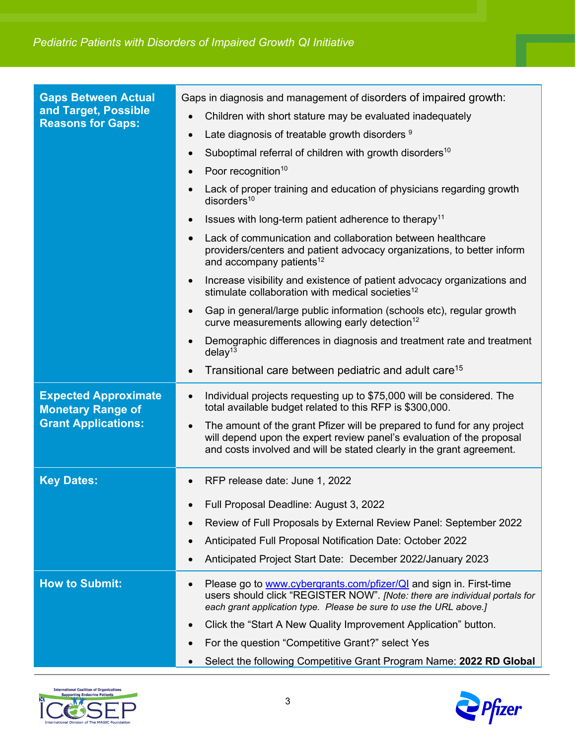| <b>Gaps Between Actual</b><br>and Target, Possible<br><b>Reasons for Gaps:</b>        | Gaps in diagnosis and management of disorders of impaired growth:                                                                                                                                                         |
|---------------------------------------------------------------------------------------|---------------------------------------------------------------------------------------------------------------------------------------------------------------------------------------------------------------------------|
|                                                                                       | Children with short stature may be evaluated inadequately                                                                                                                                                                 |
|                                                                                       | Late diagnosis of treatable growth disorders 9<br>$\bullet$                                                                                                                                                               |
|                                                                                       | Suboptimal referral of children with growth disorders <sup>10</sup><br>$\bullet$                                                                                                                                          |
|                                                                                       | Poor recognition <sup>10</sup><br>$\bullet$                                                                                                                                                                               |
|                                                                                       | Lack of proper training and education of physicians regarding growth<br>disorders <sup>10</sup>                                                                                                                           |
|                                                                                       | Issues with long-term patient adherence to therapy <sup>11</sup>                                                                                                                                                          |
|                                                                                       | Lack of communication and collaboration between healthcare<br>providers/centers and patient advocacy organizations, to better inform<br>and accompany patients <sup>12</sup>                                              |
|                                                                                       | Increase visibility and existence of patient advocacy organizations and<br>stimulate collaboration with medical societies <sup>12</sup>                                                                                   |
|                                                                                       | Gap in general/large public information (schools etc), regular growth<br>curve measurements allowing early detection <sup>12</sup>                                                                                        |
|                                                                                       | Demographic differences in diagnosis and treatment rate and treatment<br>delay <sup>13</sup>                                                                                                                              |
|                                                                                       | Transitional care between pediatric and adult care <sup>15</sup>                                                                                                                                                          |
| <b>Expected Approximate</b><br><b>Monetary Range of</b><br><b>Grant Applications:</b> | Individual projects requesting up to \$75,000 will be considered. The<br>$\bullet$<br>total available budget related to this RFP is \$300,000.                                                                            |
|                                                                                       | The amount of the grant Pfizer will be prepared to fund for any project<br>will depend upon the expert review panel's evaluation of the proposal<br>and costs involved and will be stated clearly in the grant agreement. |
| <b>Key Dates:</b>                                                                     | RFP release date: June 1, 2022                                                                                                                                                                                            |
|                                                                                       | Full Proposal Deadline: August 3, 2022                                                                                                                                                                                    |
|                                                                                       | Review of Full Proposals by External Review Panel: September 2022                                                                                                                                                         |
|                                                                                       | Anticipated Full Proposal Notification Date: October 2022                                                                                                                                                                 |
|                                                                                       | Anticipated Project Start Date: December 2022/January 2023                                                                                                                                                                |
|                                                                                       |                                                                                                                                                                                                                           |
| <b>How to Submit:</b>                                                                 | Please go to www.cybergrants.com/pfizer/QI and sign in. First-time<br>users should click "REGISTER NOW". [Note: there are individual portals for<br>each grant application type. Please be sure to use the URL above.]    |
|                                                                                       | Click the "Start A New Quality Improvement Application" button.                                                                                                                                                           |
|                                                                                       | For the question "Competitive Grant?" select Yes                                                                                                                                                                          |
|                                                                                       | Select the following Competitive Grant Program Name: 2022 RD Global                                                                                                                                                       |



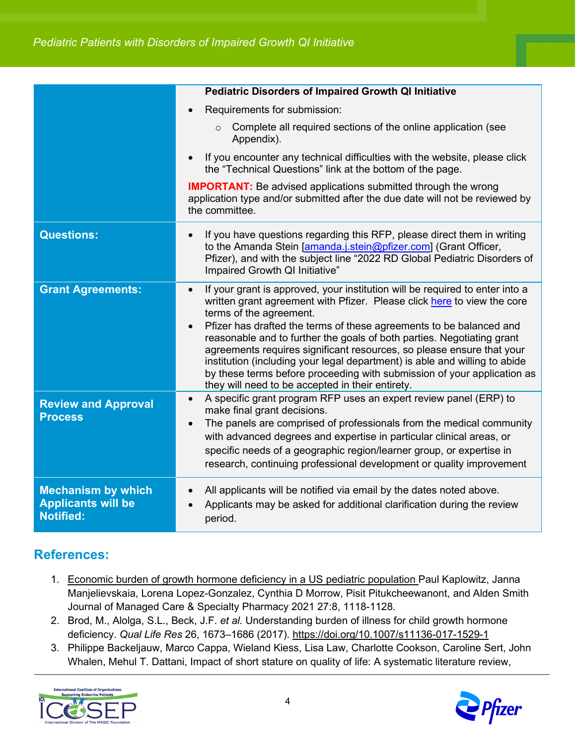|                                                                            | <b>Pediatric Disorders of Impaired Growth QI Initiative</b>                                                                                                                                                                                                                                                                                                                                                                                                                                                                                                                                                                            |
|----------------------------------------------------------------------------|----------------------------------------------------------------------------------------------------------------------------------------------------------------------------------------------------------------------------------------------------------------------------------------------------------------------------------------------------------------------------------------------------------------------------------------------------------------------------------------------------------------------------------------------------------------------------------------------------------------------------------------|
|                                                                            | Requirements for submission:                                                                                                                                                                                                                                                                                                                                                                                                                                                                                                                                                                                                           |
|                                                                            | Complete all required sections of the online application (see<br>Appendix).                                                                                                                                                                                                                                                                                                                                                                                                                                                                                                                                                            |
|                                                                            | If you encounter any technical difficulties with the website, please click<br>the "Technical Questions" link at the bottom of the page.                                                                                                                                                                                                                                                                                                                                                                                                                                                                                                |
|                                                                            | <b>IMPORTANT:</b> Be advised applications submitted through the wrong<br>application type and/or submitted after the due date will not be reviewed by<br>the committee.                                                                                                                                                                                                                                                                                                                                                                                                                                                                |
| <b>Questions:</b>                                                          | If you have questions regarding this RFP, please direct them in writing<br>to the Amanda Stein [amanda.j.stein@pfizer.com] (Grant Officer,<br>Pfizer), and with the subject line "2022 RD Global Pediatric Disorders of<br>Impaired Growth QI Initiative"                                                                                                                                                                                                                                                                                                                                                                              |
| <b>Grant Agreements:</b>                                                   | If your grant is approved, your institution will be required to enter into a<br>$\bullet$<br>written grant agreement with Pfizer. Please click here to view the core<br>terms of the agreement.<br>Pfizer has drafted the terms of these agreements to be balanced and<br>reasonable and to further the goals of both parties. Negotiating grant<br>agreements requires significant resources, so please ensure that your<br>institution (including your legal department) is able and willing to abide<br>by these terms before proceeding with submission of your application as<br>they will need to be accepted in their entirety. |
| <b>Review and Approval</b><br><b>Process</b>                               | A specific grant program RFP uses an expert review panel (ERP) to<br>make final grant decisions.<br>The panels are comprised of professionals from the medical community<br>$\bullet$<br>with advanced degrees and expertise in particular clinical areas, or<br>specific needs of a geographic region/learner group, or expertise in<br>research, continuing professional development or quality improvement                                                                                                                                                                                                                          |
| <b>Mechanism by which</b><br><b>Applicants will be</b><br><b>Notified:</b> | All applicants will be notified via email by the dates noted above.<br>Applicants may be asked for additional clarification during the review<br>period.                                                                                                                                                                                                                                                                                                                                                                                                                                                                               |

#### **References:**

- 1. [Economic burden of growth hormone deficiency in a US pediatric population](https://www.jmcp.org/doi/abs/10.18553/jmcp.2021.21030) Paul Kaplowitz, Janna Manjelievskaia, Lorena Lopez-Gonzalez, Cynthia D Morrow, Pisit Pitukcheewanont, and Alden Smith Journal of Managed Care & Specialty Pharmacy 2021 27:8, 1118-1128.
- 2. Brod, M., Alolga, S.L., Beck, J.F. *et al.* Understanding burden of illness for child growth hormone deficiency. *Qual Life Res* 26, 1673–1686 (2017).<https://doi.org/10.1007/s11136-017-1529-1>
- 3. Philippe Backeljauw, Marco Cappa, Wieland Kiess, Lisa Law, Charlotte Cookson, Caroline Sert, John Whalen, Mehul T. Dattani, Impact of short stature on quality of life: A systematic literature review,



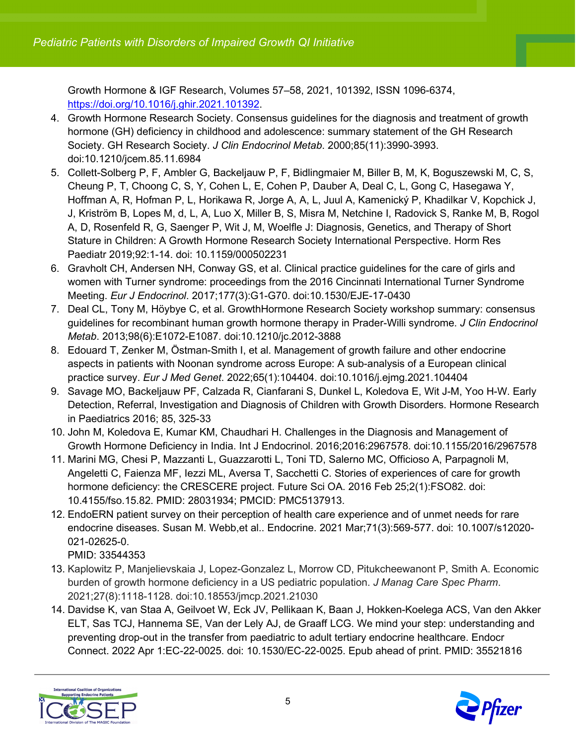Growth Hormone & IGF Research, Volumes 57–58, 2021, 101392, ISSN 1096-6374, [https://doi.org/10.1016/j.ghir.2021.101392.](https://doi.org/10.1016/j.ghir.2021.101392)

- 4. Growth Hormone Research Society. Consensus guidelines for the diagnosis and treatment of growth hormone (GH) deficiency in childhood and adolescence: summary statement of the GH Research Society. GH Research Society. *J Clin Endocrinol Metab*. 2000;85(11):3990-3993. doi:10.1210/jcem.85.11.6984
- 5. Collett-Solberg P, F, Ambler G, Backeljauw P, F, Bidlingmaier M, Biller B, M, K, Boguszewski M, C, S, Cheung P, T, Choong C, S, Y, Cohen L, E, Cohen P, Dauber A, Deal C, L, Gong C, Hasegawa Y, Hoffman A, R, Hofman P, L, Horikawa R, Jorge A, A, L, Juul A, Kamenický P, Khadilkar V, Kopchick J, J, Kriström B, Lopes M, d, L, A, Luo X, Miller B, S, Misra M, Netchine I, Radovick S, Ranke M, B, Rogol A, D, Rosenfeld R, G, Saenger P, Wit J, M, Woelfle J: Diagnosis, Genetics, and Therapy of Short Stature in Children: A Growth Hormone Research Society International Perspective. Horm Res Paediatr 2019;92:1-14. doi: 10.1159/000502231
- 6. Gravholt CH, Andersen NH, Conway GS, et al. Clinical practice guidelines for the care of girls and women with Turner syndrome: proceedings from the 2016 Cincinnati International Turner Syndrome Meeting. *Eur J Endocrinol*. 2017;177(3):G1-G70. doi:10.1530/EJE-17-0430
- 7. Deal CL, Tony M, Höybye C, et al. GrowthHormone Research Society workshop summary: consensus guidelines for recombinant human growth hormone therapy in Prader-Willi syndrome. *J Clin Endocrinol Metab*. 2013;98(6):E1072-E1087. doi:10.1210/jc.2012-3888
- 8. Edouard T, Zenker M, Östman-Smith I, et al. Management of growth failure and other endocrine aspects in patients with Noonan syndrome across Europe: A sub-analysis of a European clinical practice survey. *Eur J Med Genet*. 2022;65(1):104404. doi:10.1016/j.ejmg.2021.104404
- 9. Savage MO, Backeljauw PF, Calzada R, Cianfarani S, Dunkel L, Koledova E, Wit J-M, Yoo H-W. Early Detection, Referral, Investigation and Diagnosis of Children with Growth Disorders. Hormone Research in Paediatrics 2016; 85, 325-33
- 10. John M, Koledova E, Kumar KM, Chaudhari H. Challenges in the Diagnosis and Management of Growth Hormone Deficiency in India. Int J Endocrinol. 2016;2016:2967578. doi:10.1155/2016/2967578
- 11. Marini MG, Chesi P, Mazzanti L, Guazzarotti L, Toni TD, Salerno MC, Officioso A, Parpagnoli M, Angeletti C, Faienza MF, Iezzi ML, Aversa T, Sacchetti C. Stories of experiences of care for growth hormone deficiency: the CRESCERE project. Future Sci OA. 2016 Feb 25;2(1):FSO82. doi: 10.4155/fso.15.82. PMID: 28031934; PMCID: PMC5137913.
- 12. EndoERN patient survey on their perception of health care experience and of unmet needs for rare endocrine diseases. Susan M. Webb,et al.. Endocrine. 2021 Mar;71(3):569-577. doi: 10.1007/s12020- 021-02625-0.

PMID: 33544353

- 13. Kaplowitz P, Manjelievskaia J, Lopez-Gonzalez L, Morrow CD, Pitukcheewanont P, Smith A. Economic burden of growth hormone deficiency in a US pediatric population. *J Manag Care Spec Pharm*. 2021;27(8):1118-1128. doi:10.18553/jmcp.2021.21030
- 14. Davidse K, van Staa A, Geilvoet W, Eck JV, Pellikaan K, Baan J, Hokken-Koelega ACS, Van den Akker ELT, Sas TCJ, Hannema SE, Van der Lely AJ, de Graaff LCG. We mind your step: understanding and preventing drop-out in the transfer from paediatric to adult tertiary endocrine healthcare. Endocr Connect. 2022 Apr 1:EC-22-0025. doi: 10.1530/EC-22-0025. Epub ahead of print. PMID: 35521816



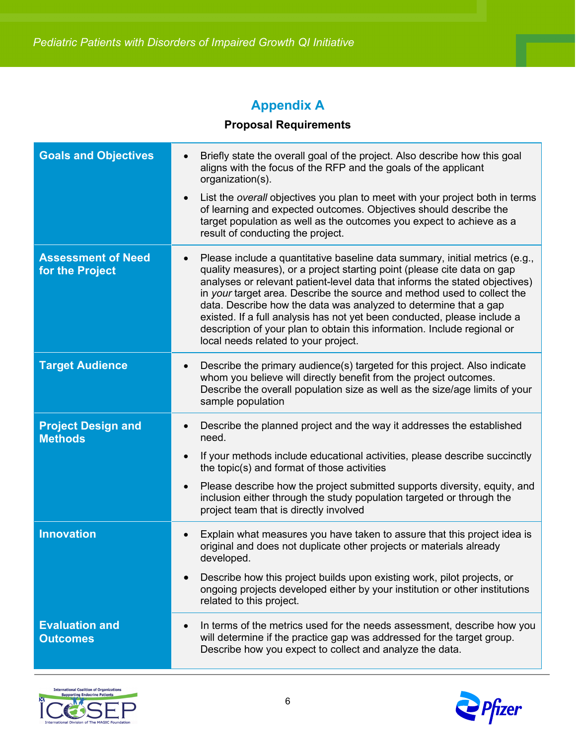## **Appendix A**

#### **Proposal Requirements**

| <b>Goals and Objectives</b>                  | Briefly state the overall goal of the project. Also describe how this goal<br>aligns with the focus of the RFP and the goals of the applicant<br>organization(s).                                                                                                                                                                                                                                                                                                                                                                                                                    |
|----------------------------------------------|--------------------------------------------------------------------------------------------------------------------------------------------------------------------------------------------------------------------------------------------------------------------------------------------------------------------------------------------------------------------------------------------------------------------------------------------------------------------------------------------------------------------------------------------------------------------------------------|
|                                              | List the overall objectives you plan to meet with your project both in terms<br>of learning and expected outcomes. Objectives should describe the<br>target population as well as the outcomes you expect to achieve as a<br>result of conducting the project.                                                                                                                                                                                                                                                                                                                       |
| <b>Assessment of Need</b><br>for the Project | Please include a quantitative baseline data summary, initial metrics (e.g.,<br>quality measures), or a project starting point (please cite data on gap<br>analyses or relevant patient-level data that informs the stated objectives)<br>in your target area. Describe the source and method used to collect the<br>data. Describe how the data was analyzed to determine that a gap<br>existed. If a full analysis has not yet been conducted, please include a<br>description of your plan to obtain this information. Include regional or<br>local needs related to your project. |
| <b>Target Audience</b>                       | Describe the primary audience(s) targeted for this project. Also indicate<br>whom you believe will directly benefit from the project outcomes.<br>Describe the overall population size as well as the size/age limits of your<br>sample population                                                                                                                                                                                                                                                                                                                                   |
| <b>Project Design and</b><br><b>Methods</b>  | Describe the planned project and the way it addresses the established<br>need.<br>If your methods include educational activities, please describe succinctly<br>the topic(s) and format of those activities<br>Please describe how the project submitted supports diversity, equity, and<br>$\bullet$<br>inclusion either through the study population targeted or through the<br>project team that is directly involved                                                                                                                                                             |
| <b>Innovation</b>                            | Explain what measures you have taken to assure that this project idea is<br>original and does not duplicate other projects or materials already<br>developed.<br>Describe how this project builds upon existing work, pilot projects, or<br>ongoing projects developed either by your institution or other institutions<br>related to this project.                                                                                                                                                                                                                                  |
| <b>Evaluation and</b><br><b>Outcomes</b>     | In terms of the metrics used for the needs assessment, describe how you<br>will determine if the practice gap was addressed for the target group.<br>Describe how you expect to collect and analyze the data.                                                                                                                                                                                                                                                                                                                                                                        |